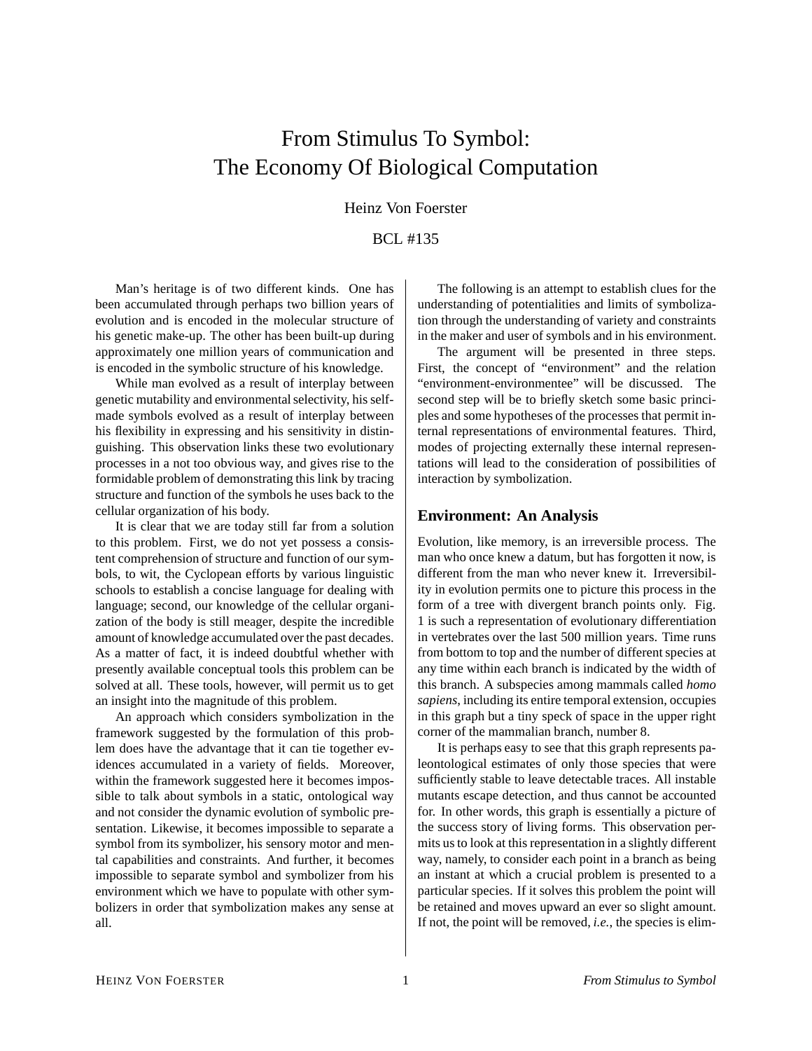# From Stimulus To Symbol: The Economy Of Biological Computation

Heinz Von Foerster

BCL #135

Man's heritage is of two different kinds. One has been accumulated through perhaps two billion years of evolution and is encoded in the molecular structure of his genetic make-up. The other has been built-up during approximately one million years of communication and is encoded in the symbolic structure of his knowledge.

While man evolved as a result of interplay between genetic mutability and environmental selectivity, his selfmade symbols evolved as a result of interplay between his flexibility in expressing and his sensitivity in distinguishing. This observation links these two evolutionary processes in a not too obvious way, and gives rise to the formidable problem of demonstrating this link by tracing structure and function of the symbols he uses back to the cellular organization of his body.

It is clear that we are today still far from a solution to this problem. First, we do not yet possess a consistent comprehension of structure and function of our symbols, to wit, the Cyclopean efforts by various linguistic schools to establish a concise language for dealing with language; second, our knowledge of the cellular organization of the body is still meager, despite the incredible amount of knowledge accumulated over the past decades. As a matter of fact, it is indeed doubtful whether with presently available conceptual tools this problem can be solved at all. These tools, however, will permit us to get an insight into the magnitude of this problem.

An approach which considers symbolization in the framework suggested by the formulation of this problem does have the advantage that it can tie together evidences accumulated in a variety of fields. Moreover, within the framework suggested here it becomes impossible to talk about symbols in a static, ontological way and not consider the dynamic evolution of symbolic presentation. Likewise, it becomes impossible to separate a symbol from its symbolizer, his sensory motor and mental capabilities and constraints. And further, it becomes impossible to separate symbol and symbolizer from his environment which we have to populate with other symbolizers in order that symbolization makes any sense at all.

The following is an attempt to establish clues for the understanding of potentialities and limits of symbolization through the understanding of variety and constraints in the maker and user of symbols and in his environment.

The argument will be presented in three steps. First, the concept of "environment" and the relation "environment-environmentee" will be discussed. The second step will be to briefly sketch some basic principles and some hypotheses of the processes that permit internal representations of environmental features. Third, modes of projecting externally these internal representations will lead to the consideration of possibilities of interaction by symbolization.

#### **Environment: An Analysis**

Evolution, like memory, is an irreversible process. The man who once knew a datum, but has forgotten it now, is different from the man who never knew it. Irreversibility in evolution permits one to picture this process in the form of a tree with divergent branch points only. Fig. 1 is such a representation of evolutionary differentiation in vertebrates over the last 500 million years. Time runs from bottom to top and the number of different species at any time within each branch is indicated by the width of this branch. A subspecies among mammals called *homo sapiens*, including its entire temporal extension, occupies in this graph but a tiny speck of space in the upper right corner of the mammalian branch, number 8.

It is perhaps easy to see that this graph represents paleontological estimates of only those species that were sufficiently stable to leave detectable traces. All instable mutants escape detection, and thus cannot be accounted for. In other words, this graph is essentially a picture of the success story of living forms. This observation permits us to look at this representation in a slightly different way, namely, to consider each point in a branch as being an instant at which a crucial problem is presented to a particular species. If it solves this problem the point will be retained and moves upward an ever so slight amount. If not, the point will be removed, *i.e.*, the species is elim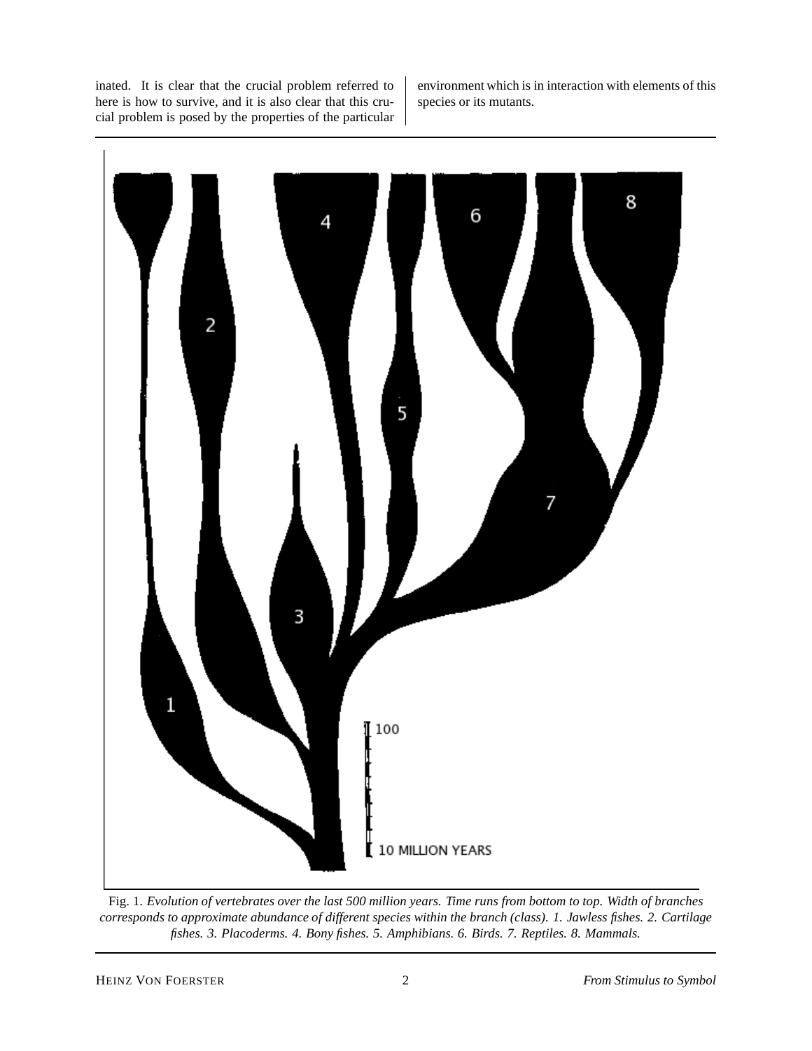inated. It is clear that the crucial problem referred to here is how to survive, and it is also clear that this crucial problem is posed by the properties of the particular environment which is in interaction with elements of this species or its mutants.



Fig. 1. *Evolution of vertebrates over the last 500 million years. Time runs from bottom to top. Width of branches corresponds to approximate abundance of different species within the branch (class). 1. Jawless fishes. 2. Cartilage fishes. 3. Placoderms. 4. Bony fishes. 5. Amphibians. 6. Birds. 7. Reptiles. 8. Mammals.*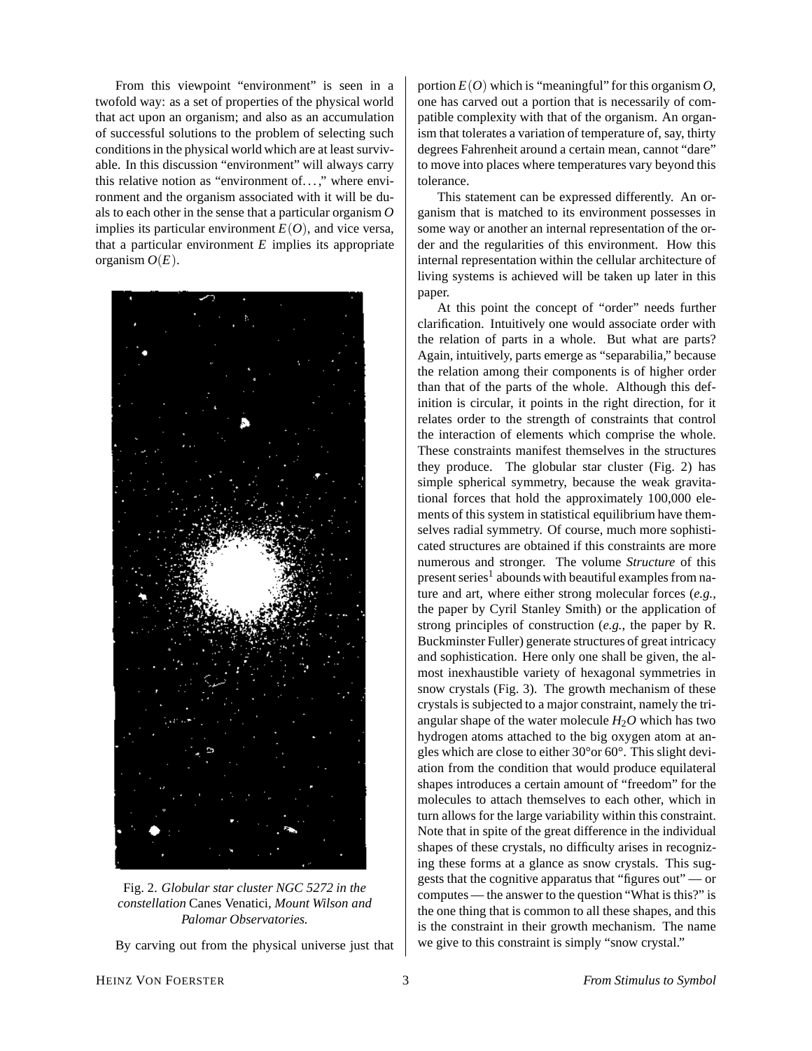From this viewpoint "environment" is seen in a twofold way: as a set of properties of the physical world that act upon an organism; and also as an accumulation of successful solutions to the problem of selecting such conditions in the physical world which are at least survivable. In this discussion "environment" will always carry this relative notion as "environment of. . . ," where environment and the organism associated with it will be duals to each other in the sense that a particular organism *O* implies its particular environment  $E(O)$ , and vice versa, that a particular environment *E* implies its appropriate organism  $O(E)$ .



Fig. 2. *Globular star cluster NGC 5272 in the constellation* Canes Venatici*, Mount Wilson and Palomar Observatories.*

By carving out from the physical universe just that

portion  $E(O)$  which is "meaningful" for this organism  $O$ , one has carved out a portion that is necessarily of compatible complexity with that of the organism. An organism that tolerates a variation of temperature of, say, thirty degrees Fahrenheit around a certain mean, cannot "dare" to move into places where temperatures vary beyond this tolerance.

This statement can be expressed differently. An organism that is matched to its environment possesses in some way or another an internal representation of the order and the regularities of this environment. How this internal representation within the cellular architecture of living systems is achieved will be taken up later in this paper.

At this point the concept of "order" needs further clarification. Intuitively one would associate order with the relation of parts in a whole. But what are parts? Again, intuitively, parts emerge as "separabilia," because the relation among their components is of higher order than that of the parts of the whole. Although this definition is circular, it points in the right direction, for it relates order to the strength of constraints that control the interaction of elements which comprise the whole. These constraints manifest themselves in the structures they produce. The globular star cluster (Fig. 2) has simple spherical symmetry, because the weak gravitational forces that hold the approximately 100,000 elements of this system in statistical equilibrium have themselves radial symmetry. Of course, much more sophisticated structures are obtained if this constraints are more numerous and stronger. The volume *Structure* of this present series $^1$  abounds with beautiful examples from nature and art, where either strong molecular forces (*e.g.*, the paper by Cyril Stanley Smith) or the application of strong principles of construction (*e.g.*, the paper by R. Buckminster Fuller) generate structures of great intricacy and sophistication. Here only one shall be given, the almost inexhaustible variety of hexagonal symmetries in snow crystals (Fig. 3). The growth mechanism of these crystals is subjected to a major constraint, namely the triangular shape of the water molecule  $H_2O$  which has two hydrogen atoms attached to the big oxygen atom at angles which are close to either 30°or 60°. This slight deviation from the condition that would produce equilateral shapes introduces a certain amount of "freedom" for the molecules to attach themselves to each other, which in turn allows for the large variability within this constraint. Note that in spite of the great difference in the individual shapes of these crystals, no difficulty arises in recognizing these forms at a glance as snow crystals. This suggests that the cognitive apparatus that "figures out" — or computes — the answer to the question "What is this?" is the one thing that is common to all these shapes, and this is the constraint in their growth mechanism. The name we give to this constraint is simply "snow crystal."

HEINZ VON FOERSTER 3 *From Stimulus to Symbol*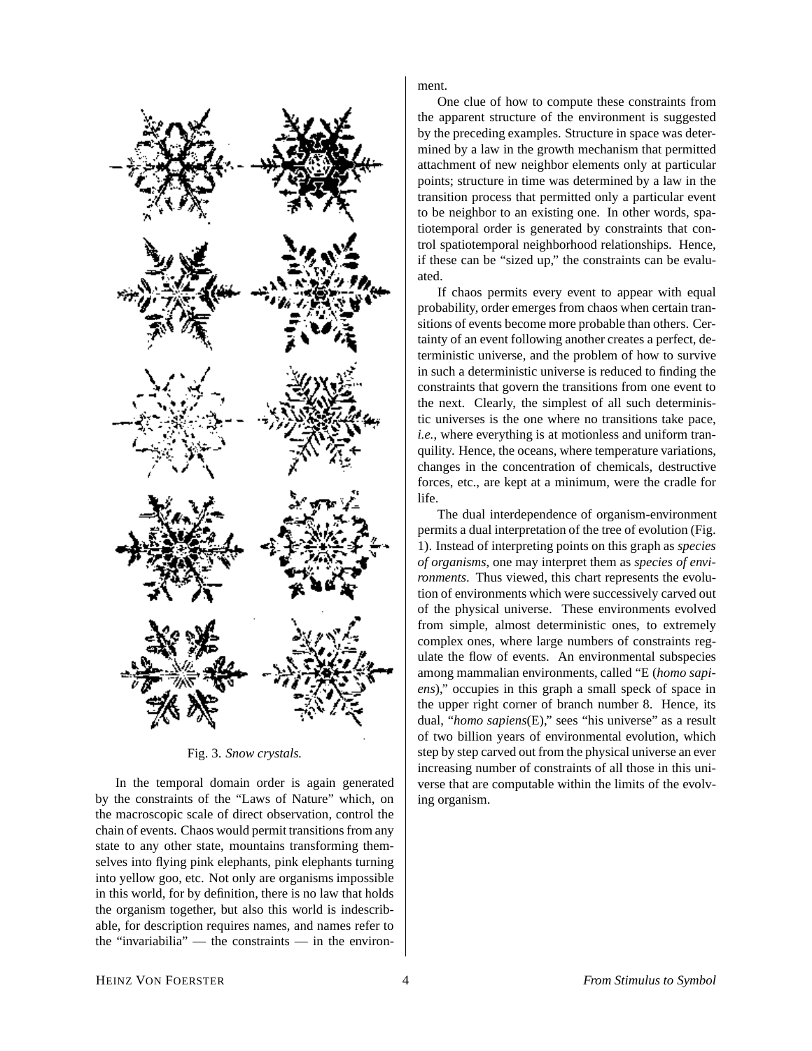

Fig. 3. *Snow crystals.*

In the temporal domain order is again generated by the constraints of the "Laws of Nature" which, on the macroscopic scale of direct observation, control the chain of events. Chaos would permit transitions from any state to any other state, mountains transforming themselves into flying pink elephants, pink elephants turning into yellow goo, etc. Not only are organisms impossible in this world, for by definition, there is no law that holds the organism together, but also this world is indescribable, for description requires names, and names refer to the "invariabilia" — the constraints — in the environment.

One clue of how to compute these constraints from the apparent structure of the environment is suggested by the preceding examples. Structure in space was determined by a law in the growth mechanism that permitted attachment of new neighbor elements only at particular points; structure in time was determined by a law in the transition process that permitted only a particular event to be neighbor to an existing one. In other words, spatiotemporal order is generated by constraints that control spatiotemporal neighborhood relationships. Hence, if these can be "sized up," the constraints can be evaluated.

If chaos permits every event to appear with equal probability, order emerges from chaos when certain transitions of events become more probable than others. Certainty of an event following another creates a perfect, deterministic universe, and the problem of how to survive in such a deterministic universe is reduced to finding the constraints that govern the transitions from one event to the next. Clearly, the simplest of all such deterministic universes is the one where no transitions take pace, *i.e.*, where everything is at motionless and uniform tranquility. Hence, the oceans, where temperature variations, changes in the concentration of chemicals, destructive forces, etc., are kept at a minimum, were the cradle for life.

The dual interdependence of organism-environment permits a dual interpretation of the tree of evolution (Fig. 1). Instead of interpreting points on this graph as *species of organisms*, one may interpret them as *species of environments*. Thus viewed, this chart represents the evolution of environments which were successively carved out of the physical universe. These environments evolved from simple, almost deterministic ones, to extremely complex ones, where large numbers of constraints regulate the flow of events. An environmental subspecies among mammalian environments, called "E (*homo sapiens*)," occupies in this graph a small speck of space in the upper right corner of branch number 8. Hence, its dual, "*homo sapiens*(E)," sees "his universe" as a result of two billion years of environmental evolution, which step by step carved out from the physical universe an ever increasing number of constraints of all those in this universe that are computable within the limits of the evolving organism.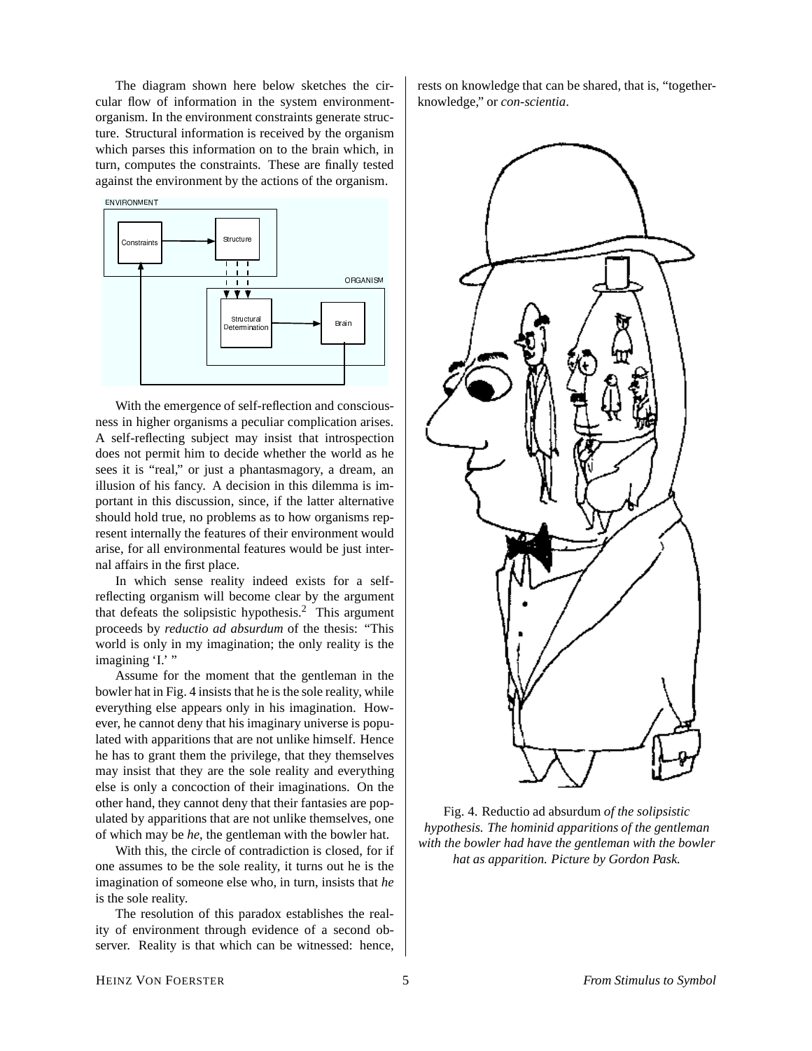The diagram shown here below sketches the circular flow of information in the system environmentorganism. In the environment constraints generate structure. Structural information is received by the organism which parses this information on to the brain which, in turn, computes the constraints. These are finally tested against the environment by the actions of the organism.



With the emergence of self-reflection and consciousness in higher organisms a peculiar complication arises. A self-reflecting subject may insist that introspection does not permit him to decide whether the world as he sees it is "real," or just a phantasmagory, a dream, an illusion of his fancy. A decision in this dilemma is important in this discussion, since, if the latter alternative should hold true, no problems as to how organisms represent internally the features of their environment would arise, for all environmental features would be just internal affairs in the first place.

In which sense reality indeed exists for a selfreflecting organism will become clear by the argument that defeats the solipsistic hypothesis.<sup>2</sup> This argument proceeds by *reductio ad absurdum* of the thesis: "This world is only in my imagination; the only reality is the imagining 'I.' "

Assume for the moment that the gentleman in the bowler hat in Fig. 4 insists that he is the sole reality, while everything else appears only in his imagination. However, he cannot deny that his imaginary universe is populated with apparitions that are not unlike himself. Hence he has to grant them the privilege, that they themselves may insist that they are the sole reality and everything else is only a concoction of their imaginations. On the other hand, they cannot deny that their fantasies are populated by apparitions that are not unlike themselves, one of which may be *he*, the gentleman with the bowler hat.

With this, the circle of contradiction is closed, for if one assumes to be the sole reality, it turns out he is the imagination of someone else who, in turn, insists that *he* is the sole reality.

The resolution of this paradox establishes the reality of environment through evidence of a second observer. Reality is that which can be witnessed: hence, rests on knowledge that can be shared, that is, "togetherknowledge," or *con-scientia*.



Fig. 4. Reductio ad absurdum *of the solipsistic hypothesis. The hominid apparitions of the gentleman with the bowler had have the gentleman with the bowler hat as apparition. Picture by Gordon Pask.*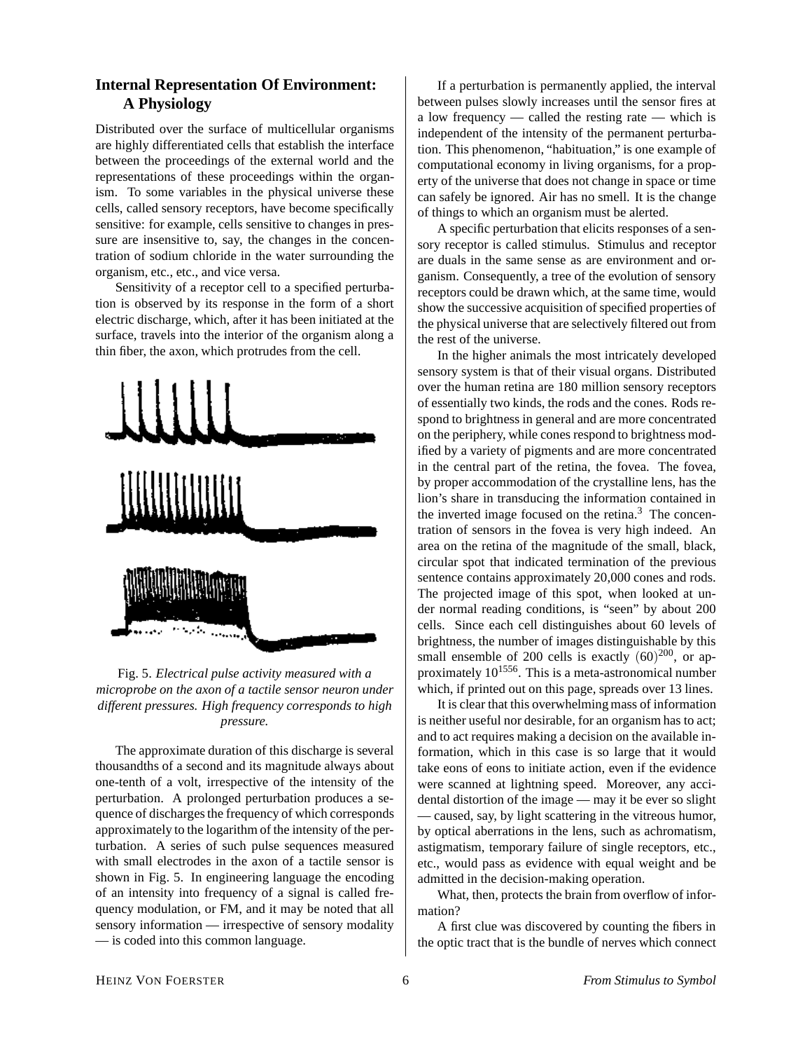## **Internal Representation Of Environment: A Physiology**

Distributed over the surface of multicellular organisms are highly differentiated cells that establish the interface between the proceedings of the external world and the representations of these proceedings within the organism. To some variables in the physical universe these cells, called sensory receptors, have become specifically sensitive: for example, cells sensitive to changes in pressure are insensitive to, say, the changes in the concentration of sodium chloride in the water surrounding the organism, etc., etc., and vice versa.

Sensitivity of a receptor cell to a specified perturbation is observed by its response in the form of a short electric discharge, which, after it has been initiated at the surface, travels into the interior of the organism along a thin fiber, the axon, which protrudes from the cell.



Fig. 5. *Electrical pulse activity measured with a microprobe on the axon of a tactile sensor neuron under different pressures. High frequency corresponds to high pressure.*

The approximate duration of this discharge is several thousandths of a second and its magnitude always about one-tenth of a volt, irrespective of the intensity of the perturbation. A prolonged perturbation produces a sequence of discharges the frequency of which corresponds approximately to the logarithm of the intensity of the perturbation. A series of such pulse sequences measured with small electrodes in the axon of a tactile sensor is shown in Fig. 5. In engineering language the encoding of an intensity into frequency of a signal is called frequency modulation, or FM, and it may be noted that all sensory information — irrespective of sensory modality — is coded into this common language.

If a perturbation is permanently applied, the interval between pulses slowly increases until the sensor fires at a low frequency — called the resting rate — which is independent of the intensity of the permanent perturbation. This phenomenon, "habituation," is one example of computational economy in living organisms, for a property of the universe that does not change in space or time can safely be ignored. Air has no smell. It is the change of things to which an organism must be alerted.

A specific perturbation that elicits responses of a sensory receptor is called stimulus. Stimulus and receptor are duals in the same sense as are environment and organism. Consequently, a tree of the evolution of sensory receptors could be drawn which, at the same time, would show the successive acquisition of specified properties of the physical universe that are selectively filtered out from the rest of the universe.

In the higher animals the most intricately developed sensory system is that of their visual organs. Distributed over the human retina are 180 million sensory receptors of essentially two kinds, the rods and the cones. Rods respond to brightness in general and are more concentrated on the periphery, while cones respond to brightness modified by a variety of pigments and are more concentrated in the central part of the retina, the fovea. The fovea, by proper accommodation of the crystalline lens, has the lion's share in transducing the information contained in the inverted image focused on the retina. $3$  The concentration of sensors in the fovea is very high indeed. An area on the retina of the magnitude of the small, black, circular spot that indicated termination of the previous sentence contains approximately 20,000 cones and rods. The projected image of this spot, when looked at under normal reading conditions, is "seen" by about 200 cells. Since each cell distinguishes about 60 levels of brightness, the number of images distinguishable by this small ensemble of 200 cells is exactly  $(60)^{200}$ , or approximately 101556. This is a meta-astronomical number which, if printed out on this page, spreads over 13 lines.

It is clear that this overwhelming mass of information is neither useful nor desirable, for an organism has to act; and to act requires making a decision on the available information, which in this case is so large that it would take eons of eons to initiate action, even if the evidence were scanned at lightning speed. Moreover, any accidental distortion of the image — may it be ever so slight — caused, say, by light scattering in the vitreous humor, by optical aberrations in the lens, such as achromatism, astigmatism, temporary failure of single receptors, etc., etc., would pass as evidence with equal weight and be admitted in the decision-making operation.

What, then, protects the brain from overflow of information?

A first clue was discovered by counting the fibers in the optic tract that is the bundle of nerves which connect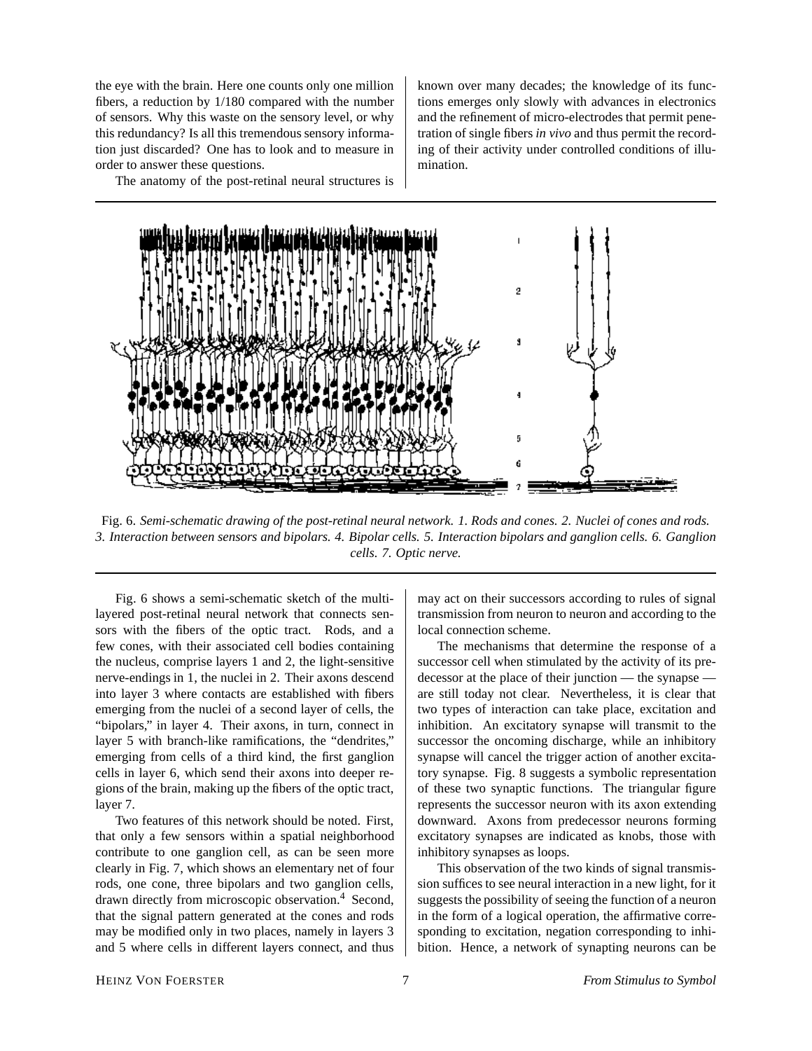the eye with the brain. Here one counts only one million fibers, a reduction by 1/180 compared with the number of sensors. Why this waste on the sensory level, or why this redundancy? Is all this tremendous sensory information just discarded? One has to look and to measure in order to answer these questions.

The anatomy of the post-retinal neural structures is

known over many decades; the knowledge of its functions emerges only slowly with advances in electronics and the refinement of micro-electrodes that permit penetration of single fibers *in vivo* and thus permit the recording of their activity under controlled conditions of illumination.



Fig. 6. *Semi-schematic drawing of the post-retinal neural network. 1. Rods and cones. 2. Nuclei of cones and rods. 3. Interaction between sensors and bipolars. 4. Bipolar cells. 5. Interaction bipolars and ganglion cells. 6. Ganglion cells. 7. Optic nerve.*

Fig. 6 shows a semi-schematic sketch of the multilayered post-retinal neural network that connects sensors with the fibers of the optic tract. Rods, and a few cones, with their associated cell bodies containing the nucleus, comprise layers 1 and 2, the light-sensitive nerve-endings in 1, the nuclei in 2. Their axons descend into layer 3 where contacts are established with fibers emerging from the nuclei of a second layer of cells, the "bipolars," in layer 4. Their axons, in turn, connect in layer 5 with branch-like ramifications, the "dendrites," emerging from cells of a third kind, the first ganglion cells in layer 6, which send their axons into deeper regions of the brain, making up the fibers of the optic tract, layer 7.

Two features of this network should be noted. First, that only a few sensors within a spatial neighborhood contribute to one ganglion cell, as can be seen more clearly in Fig. 7, which shows an elementary net of four rods, one cone, three bipolars and two ganglion cells, drawn directly from microscopic observation.<sup>4</sup> Second, that the signal pattern generated at the cones and rods may be modified only in two places, namely in layers 3 and 5 where cells in different layers connect, and thus

may act on their successors according to rules of signal transmission from neuron to neuron and according to the local connection scheme.

The mechanisms that determine the response of a successor cell when stimulated by the activity of its predecessor at the place of their junction — the synapse are still today not clear. Nevertheless, it is clear that two types of interaction can take place, excitation and inhibition. An excitatory synapse will transmit to the successor the oncoming discharge, while an inhibitory synapse will cancel the trigger action of another excitatory synapse. Fig. 8 suggests a symbolic representation of these two synaptic functions. The triangular figure represents the successor neuron with its axon extending downward. Axons from predecessor neurons forming excitatory synapses are indicated as knobs, those with inhibitory synapses as loops.

This observation of the two kinds of signal transmission suffices to see neural interaction in a new light, for it suggests the possibility of seeing the function of a neuron in the form of a logical operation, the affirmative corresponding to excitation, negation corresponding to inhibition. Hence, a network of synapting neurons can be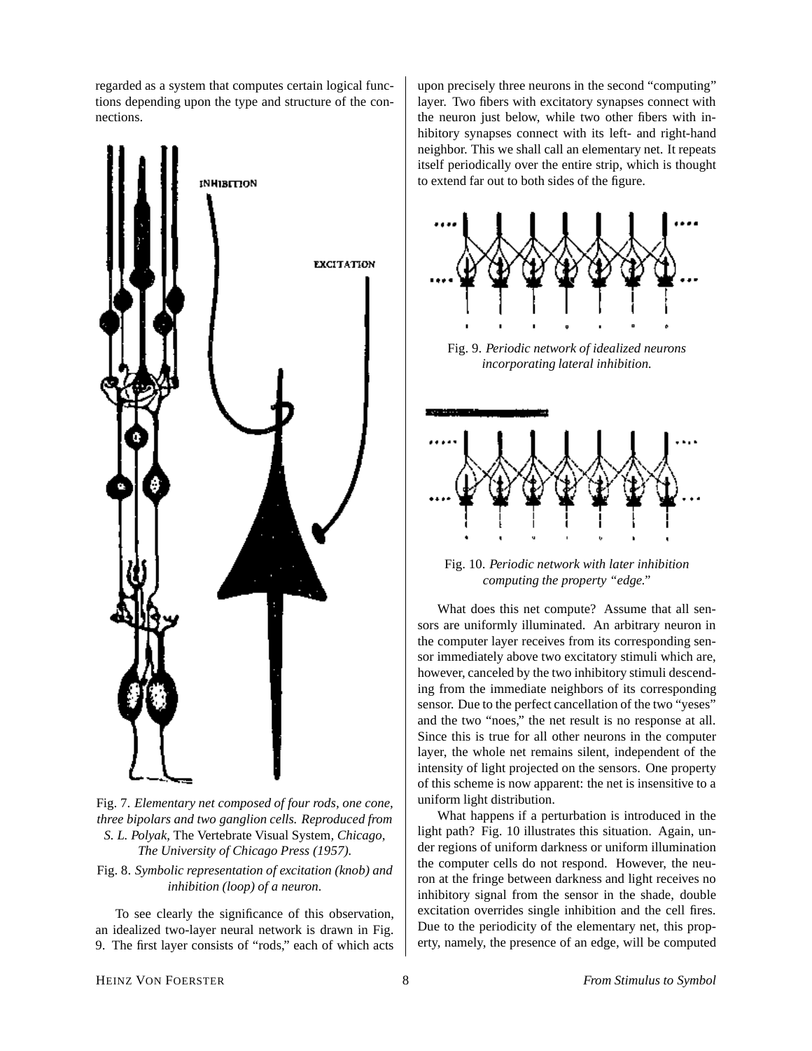regarded as a system that computes certain logical functions depending upon the type and structure of the connections.



Fig. 7. *Elementary net composed of four rods, one cone, three bipolars and two ganglion cells. Reproduced from S. L. Polyak,* The Vertebrate Visual System*, Chicago, The University of Chicago Press (1957).*

Fig. 8. *Symbolic representation of excitation (knob) and inhibition (loop) of a neuron.*

To see clearly the significance of this observation, an idealized two-layer neural network is drawn in Fig. 9. The first layer consists of "rods," each of which acts

upon precisely three neurons in the second "computing" layer. Two fibers with excitatory synapses connect with the neuron just below, while two other fibers with inhibitory synapses connect with its left- and right-hand neighbor. This we shall call an elementary net. It repeats itself periodically over the entire strip, which is thought to extend far out to both sides of the figure.



Fig. 9. *Periodic network of idealized neurons incorporating lateral inhibition.*



Fig. 10. *Periodic network with later inhibition computing the property "edge."*

What does this net compute? Assume that all sensors are uniformly illuminated. An arbitrary neuron in the computer layer receives from its corresponding sensor immediately above two excitatory stimuli which are, however, canceled by the two inhibitory stimuli descending from the immediate neighbors of its corresponding sensor. Due to the perfect cancellation of the two "yeses" and the two "noes," the net result is no response at all. Since this is true for all other neurons in the computer layer, the whole net remains silent, independent of the intensity of light projected on the sensors. One property of this scheme is now apparent: the net is insensitive to a uniform light distribution.

What happens if a perturbation is introduced in the light path? Fig. 10 illustrates this situation. Again, under regions of uniform darkness or uniform illumination the computer cells do not respond. However, the neuron at the fringe between darkness and light receives no inhibitory signal from the sensor in the shade, double excitation overrides single inhibition and the cell fires. Due to the periodicity of the elementary net, this property, namely, the presence of an edge, will be computed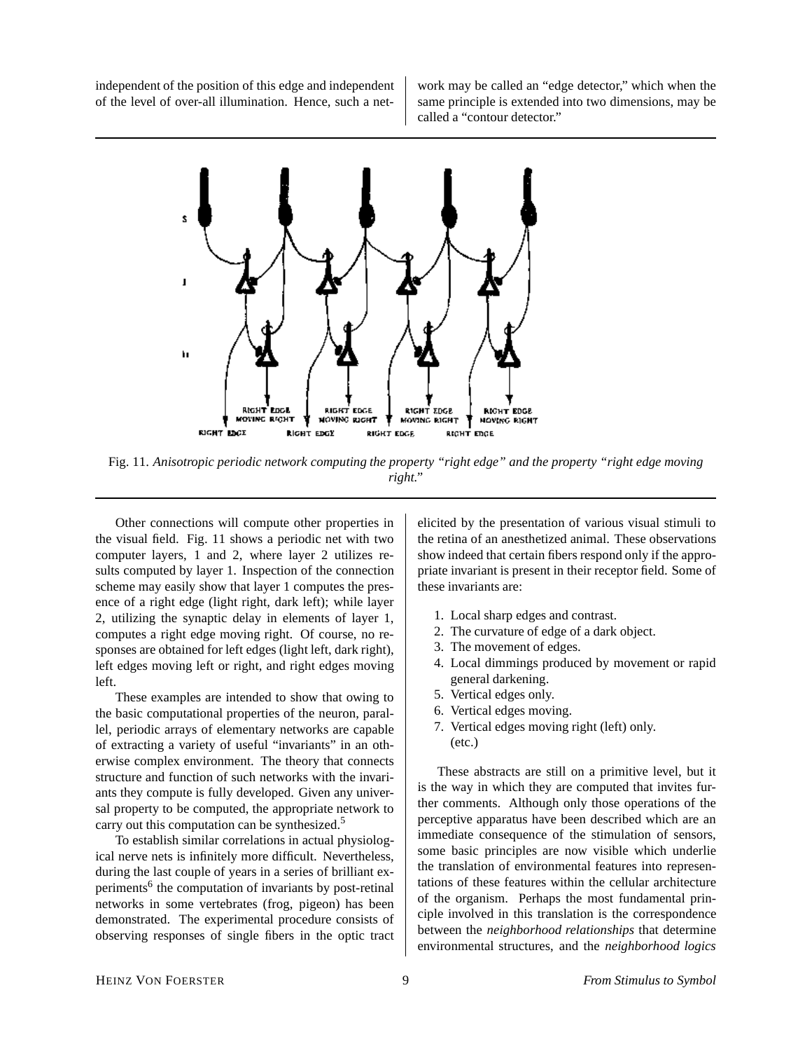independent of the position of this edge and independent of the level of over-all illumination. Hence, such a network may be called an "edge detector," which when the same principle is extended into two dimensions, may be called a "contour detector."



Fig. 11. *Anisotropic periodic network computing the property "right edge" and the property "right edge moving right."*

Other connections will compute other properties in the visual field. Fig. 11 shows a periodic net with two computer layers, 1 and 2, where layer 2 utilizes results computed by layer 1. Inspection of the connection scheme may easily show that layer 1 computes the presence of a right edge (light right, dark left); while layer 2, utilizing the synaptic delay in elements of layer 1, computes a right edge moving right. Of course, no responses are obtained for left edges (light left, dark right), left edges moving left or right, and right edges moving left.

These examples are intended to show that owing to the basic computational properties of the neuron, parallel, periodic arrays of elementary networks are capable of extracting a variety of useful "invariants" in an otherwise complex environment. The theory that connects structure and function of such networks with the invariants they compute is fully developed. Given any universal property to be computed, the appropriate network to carry out this computation can be synthesized.<sup>5</sup>

To establish similar correlations in actual physiological nerve nets is infinitely more difficult. Nevertheless, during the last couple of years in a series of brilliant experiments<sup>6</sup> the computation of invariants by post-retinal networks in some vertebrates (frog, pigeon) has been demonstrated. The experimental procedure consists of observing responses of single fibers in the optic tract elicited by the presentation of various visual stimuli to the retina of an anesthetized animal. These observations show indeed that certain fibers respond only if the appropriate invariant is present in their receptor field. Some of these invariants are:

- 1. Local sharp edges and contrast.
- 2. The curvature of edge of a dark object.
- 3. The movement of edges.
- 4. Local dimmings produced by movement or rapid general darkening.
- 5. Vertical edges only.
- 6. Vertical edges moving.
- 7. Vertical edges moving right (left) only. (etc.)

These abstracts are still on a primitive level, but it is the way in which they are computed that invites further comments. Although only those operations of the perceptive apparatus have been described which are an immediate consequence of the stimulation of sensors, some basic principles are now visible which underlie the translation of environmental features into representations of these features within the cellular architecture of the organism. Perhaps the most fundamental principle involved in this translation is the correspondence between the *neighborhood relationships* that determine environmental structures, and the *neighborhood logics*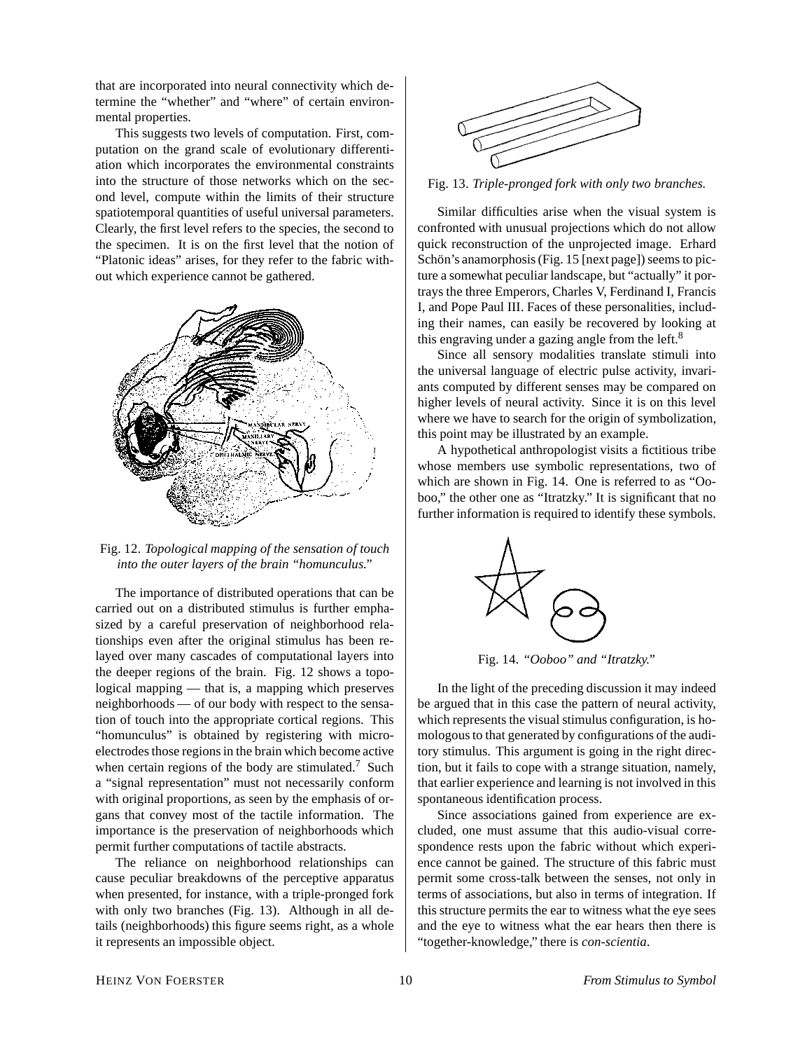that are incorporated into neural connectivity which determine the "whether" and "where" of certain environmental properties.

This suggests two levels of computation. First, computation on the grand scale of evolutionary differentiation which incorporates the environmental constraints into the structure of those networks which on the second level, compute within the limits of their structure spatiotemporal quantities of useful universal parameters. Clearly, the first level refers to the species, the second to the specimen. It is on the first level that the notion of "Platonic ideas" arises, for they refer to the fabric without which experience cannot be gathered.



Fig. 12. *Topological mapping of the sensation of touch into the outer layers of the brain "homunculus."*

The importance of distributed operations that can be carried out on a distributed stimulus is further emphasized by a careful preservation of neighborhood relationships even after the original stimulus has been relayed over many cascades of computational layers into the deeper regions of the brain. Fig. 12 shows a topological mapping — that is, a mapping which preserves neighborhoods — of our body with respect to the sensation of touch into the appropriate cortical regions. This "homunculus" is obtained by registering with microelectrodes those regions in the brain which become active when certain regions of the body are stimulated.<sup>7</sup> Such a "signal representation" must not necessarily conform with original proportions, as seen by the emphasis of organs that convey most of the tactile information. The importance is the preservation of neighborhoods which permit further computations of tactile abstracts.

The reliance on neighborhood relationships can cause peculiar breakdowns of the perceptive apparatus when presented, for instance, with a triple-pronged fork with only two branches (Fig. 13). Although in all details (neighborhoods) this figure seems right, as a whole it represents an impossible object.



Fig. 13. *Triple-pronged fork with only two branches.*

Similar difficulties arise when the visual system is confronted with unusual projections which do not allow quick reconstruction of the unprojected image. Erhard Schön's anamorphosis (Fig. 15 [next page]) seems to picture a somewhat peculiar landscape, but "actually" it portrays the three Emperors, Charles V, Ferdinand I, Francis I, and Pope Paul III. Faces of these personalities, including their names, can easily be recovered by looking at this engraving under a gazing angle from the left.<sup>8</sup>

Since all sensory modalities translate stimuli into the universal language of electric pulse activity, invariants computed by different senses may be compared on higher levels of neural activity. Since it is on this level where we have to search for the origin of symbolization, this point may be illustrated by an example.

A hypothetical anthropologist visits a fictitious tribe whose members use symbolic representations, two of which are shown in Fig. 14. One is referred to as "Ooboo," the other one as "Itratzky." It is significant that no further information is required to identify these symbols.



Fig. 14. *"Ooboo" and "Itratzky."*

In the light of the preceding discussion it may indeed be argued that in this case the pattern of neural activity, which represents the visual stimulus configuration, is homologous to that generated by configurations of the auditory stimulus. This argument is going in the right direction, but it fails to cope with a strange situation, namely, that earlier experience and learning is not involved in this spontaneous identification process.

Since associations gained from experience are excluded, one must assume that this audio-visual correspondence rests upon the fabric without which experience cannot be gained. The structure of this fabric must permit some cross-talk between the senses, not only in terms of associations, but also in terms of integration. If this structure permits the ear to witness what the eye sees and the eye to witness what the ear hears then there is "together-knowledge," there is *con-scientia*.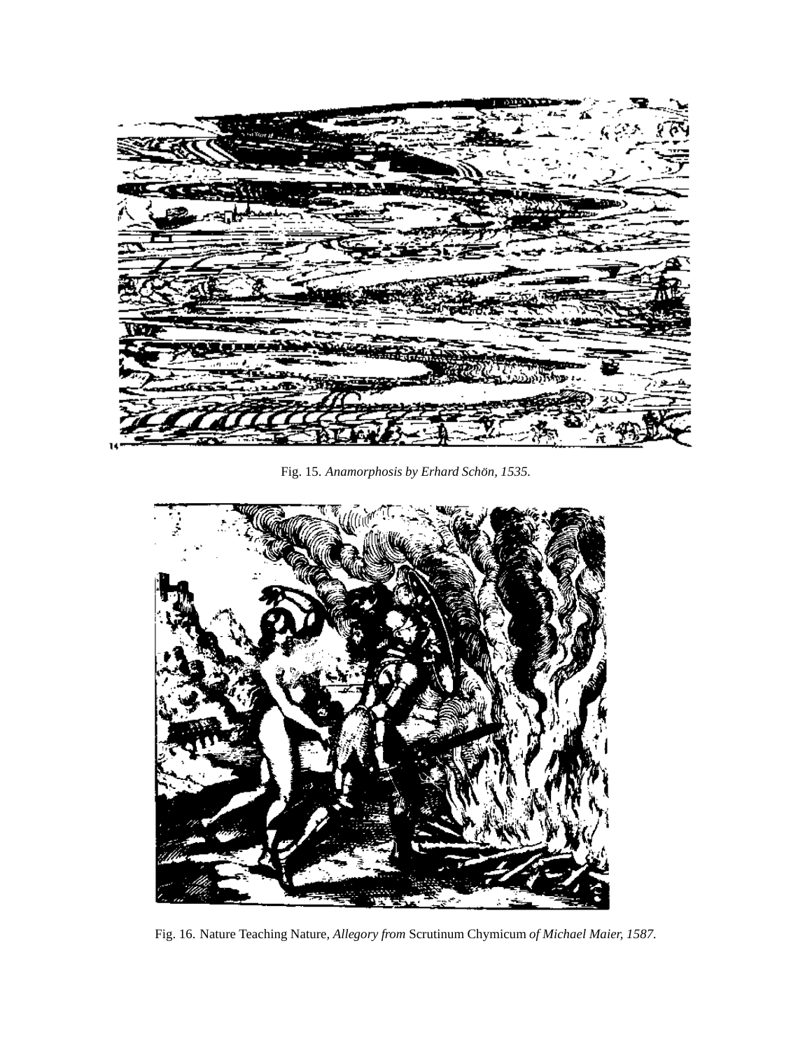$\sim 10^4$ Н

Fig. 15. *Anamorphosis by Erhard Schon, 1535. ¨*



Fig. 16. Nature Teaching Nature*, Allegory from* Scrutinum Chymicum *of Michael Maier, 1587.*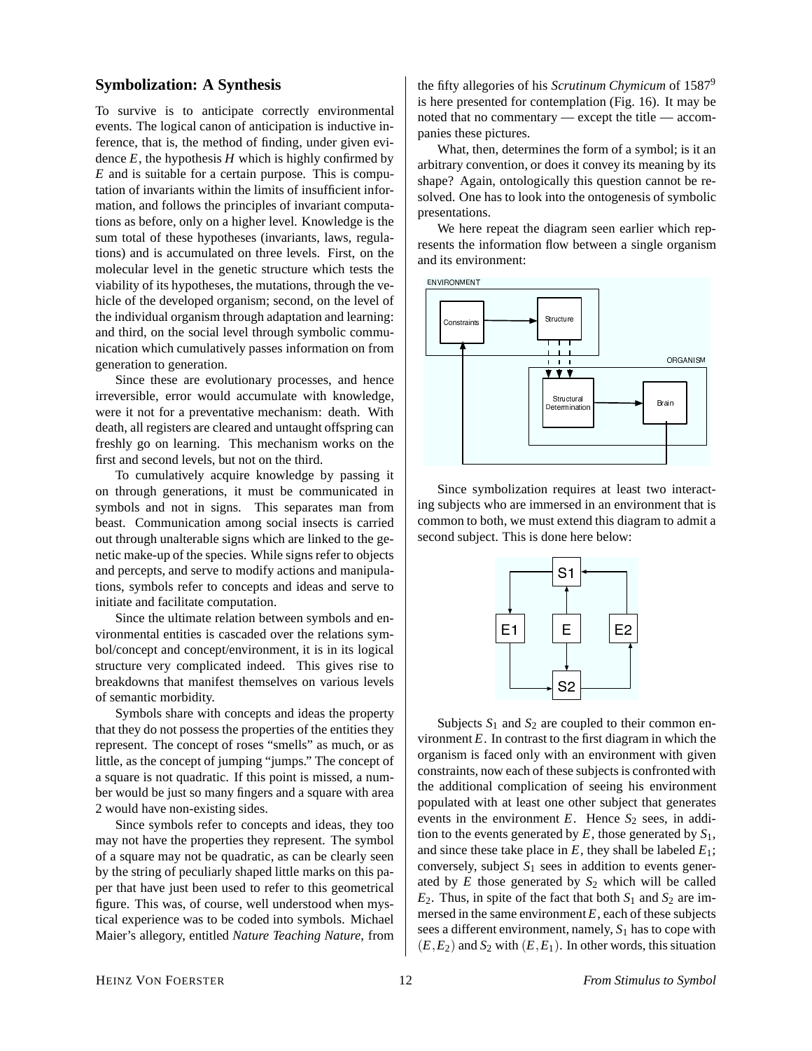### **Symbolization: A Synthesis**

To survive is to anticipate correctly environmental events. The logical canon of anticipation is inductive inference, that is, the method of finding, under given evidence  $E$ , the hypothesis  $H$  which is highly confirmed by *E* and is suitable for a certain purpose. This is computation of invariants within the limits of insufficient information, and follows the principles of invariant computations as before, only on a higher level. Knowledge is the sum total of these hypotheses (invariants, laws, regulations) and is accumulated on three levels. First, on the molecular level in the genetic structure which tests the viability of its hypotheses, the mutations, through the vehicle of the developed organism; second, on the level of the individual organism through adaptation and learning: and third, on the social level through symbolic communication which cumulatively passes information on from generation to generation.

Since these are evolutionary processes, and hence irreversible, error would accumulate with knowledge, were it not for a preventative mechanism: death. With death, all registers are cleared and untaught offspring can freshly go on learning. This mechanism works on the first and second levels, but not on the third.

To cumulatively acquire knowledge by passing it on through generations, it must be communicated in symbols and not in signs. This separates man from beast. Communication among social insects is carried out through unalterable signs which are linked to the genetic make-up of the species. While signs refer to objects and percepts, and serve to modify actions and manipulations, symbols refer to concepts and ideas and serve to initiate and facilitate computation.

Since the ultimate relation between symbols and environmental entities is cascaded over the relations symbol/concept and concept/environment, it is in its logical structure very complicated indeed. This gives rise to breakdowns that manifest themselves on various levels of semantic morbidity.

Symbols share with concepts and ideas the property that they do not possess the properties of the entities they represent. The concept of roses "smells" as much, or as little, as the concept of jumping "jumps." The concept of a square is not quadratic. If this point is missed, a number would be just so many fingers and a square with area 2 would have non-existing sides.

Since symbols refer to concepts and ideas, they too may not have the properties they represent. The symbol of a square may not be quadratic, as can be clearly seen by the string of peculiarly shaped little marks on this paper that have just been used to refer to this geometrical figure. This was, of course, well understood when mystical experience was to be coded into symbols. Michael Maier's allegory, entitled *Nature Teaching Nature*, from the fifty allegories of his *Scrutinum Chymicum* of 1587<sup>9</sup> is here presented for contemplation (Fig. 16). It may be noted that no commentary — except the title — accompanies these pictures.

What, then, determines the form of a symbol; is it an arbitrary convention, or does it convey its meaning by its shape? Again, ontologically this question cannot be resolved. One has to look into the ontogenesis of symbolic presentations.

We here repeat the diagram seen earlier which represents the information flow between a single organism and its environment:



Since symbolization requires at least two interacting subjects who are immersed in an environment that is common to both, we must extend this diagram to admit a second subject. This is done here below:



Subjects  $S_1$  and  $S_2$  are coupled to their common environment  $E$ . In contrast to the first diagram in which the organism is faced only with an environment with given constraints, now each of these subjects is confronted with the additional complication of seeing his environment populated with at least one other subject that generates events in the environment *E*. Hence *S*<sup>2</sup> sees, in addition to the events generated by  $E$ , those generated by  $S_1$ , and since these take place in  $E$ , they shall be labeled  $E_1$ ; conversely, subject  $S_1$  sees in addition to events generated by  $E$  those generated by  $S_2$  which will be called  $E_2$ . Thus, in spite of the fact that both  $S_1$  and  $S_2$  are immersed in the same environment  $E$ , each of these subjects sees a different environment, namely,  $S_1$  has to cope with  $(E, E_2)$  and  $S_2$  with  $(E, E_1)$ . In other words, this situation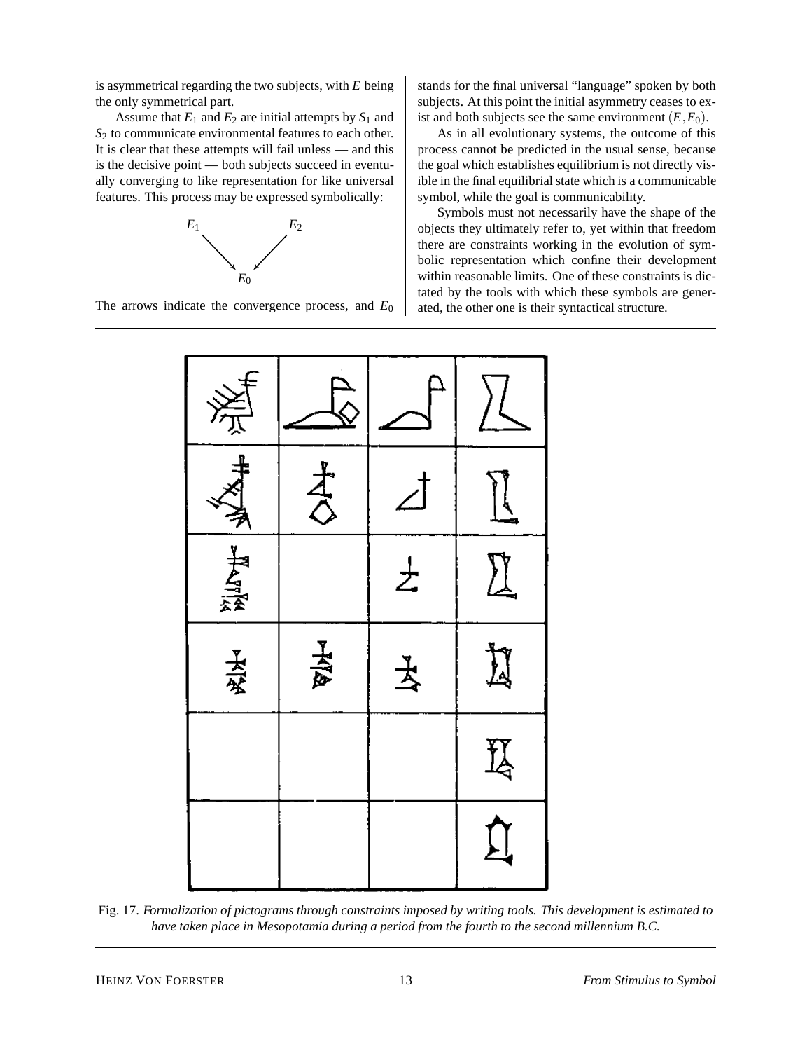is asymmetrical regarding the two subjects, with *E* being the only symmetrical part.

Assume that  $E_1$  and  $E_2$  are initial attempts by  $S_1$  and *S*<sup>2</sup> to communicate environmental features to each other. It is clear that these attempts will fail unless — and this is the decisive point — both subjects succeed in eventually converging to like representation for like universal features. This process may be expressed symbolically:



The arrows indicate the convergence process, and *E*<sup>0</sup>

stands for the final universal "language" spoken by both subjects. At this point the initial asymmetry ceases to exist and both subjects see the same environment  $(E, E_0)$ .

As in all evolutionary systems, the outcome of this process cannot be predicted in the usual sense, because the goal which establishes equilibrium is not directly visible in the final equilibrial state which is a communicable symbol, while the goal is communicability.

Symbols must not necessarily have the shape of the objects they ultimately refer to, yet within that freedom there are constraints working in the evolution of symbolic representation which confine their development within reasonable limits. One of these constraints is dictated by the tools with which these symbols are generated, the other one is their syntactical structure.



Fig. 17. *Formalization of pictograms through constraints imposed by writing tools. This development is estimated to have taken place in Mesopotamia during a period from the fourth to the second millennium B.C.*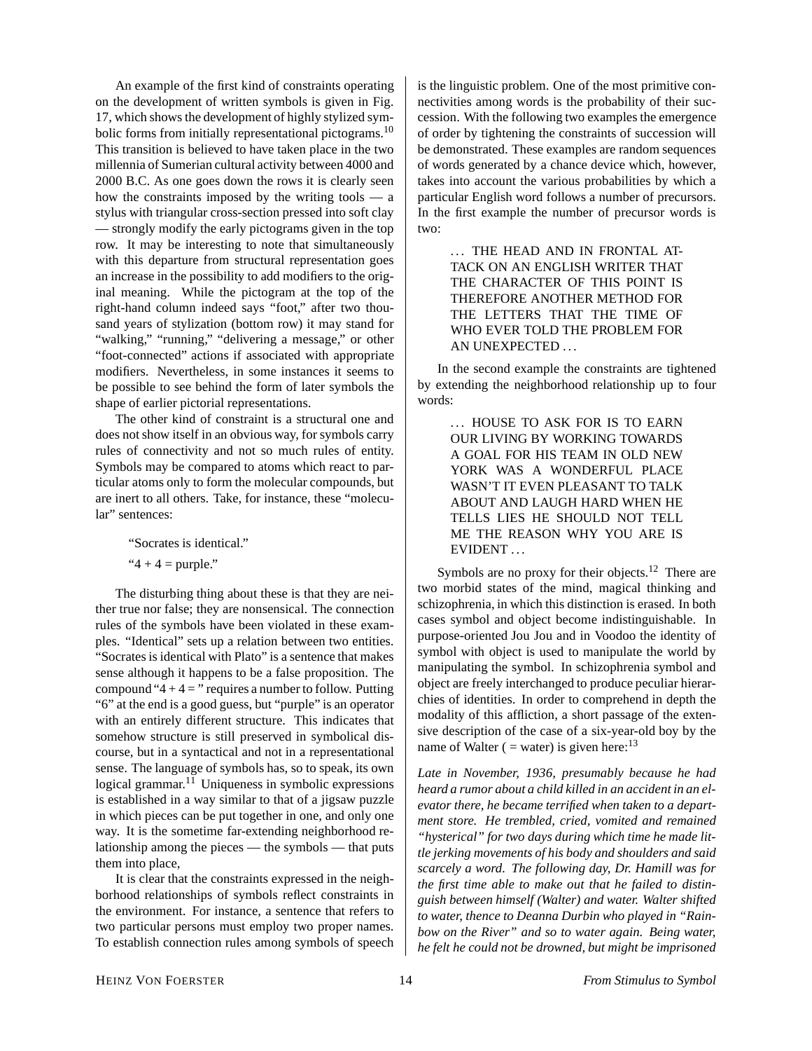An example of the first kind of constraints operating on the development of written symbols is given in Fig. 17, which shows the development of highly stylized symbolic forms from initially representational pictograms.<sup>10</sup> This transition is believed to have taken place in the two millennia of Sumerian cultural activity between 4000 and 2000 B.C. As one goes down the rows it is clearly seen how the constraints imposed by the writing tools  $-$  a stylus with triangular cross-section pressed into soft clay — strongly modify the early pictograms given in the top row. It may be interesting to note that simultaneously with this departure from structural representation goes an increase in the possibility to add modifiers to the original meaning. While the pictogram at the top of the right-hand column indeed says "foot," after two thousand years of stylization (bottom row) it may stand for "walking," "running," "delivering a message," or other "foot-connected" actions if associated with appropriate modifiers. Nevertheless, in some instances it seems to be possible to see behind the form of later symbols the shape of earlier pictorial representations.

The other kind of constraint is a structural one and does not show itself in an obvious way, for symbols carry rules of connectivity and not so much rules of entity. Symbols may be compared to atoms which react to particular atoms only to form the molecular compounds, but are inert to all others. Take, for instance, these "molecular" sentences:

"Socrates is identical."

" $4 + 4 =$  purple."

The disturbing thing about these is that they are neither true nor false; they are nonsensical. The connection rules of the symbols have been violated in these examples. "Identical" sets up a relation between two entities. "Socrates is identical with Plato" is a sentence that makes sense although it happens to be a false proposition. The compound "4 + 4 = " requires a number to follow. Putting "6" at the end is a good guess, but "purple" is an operator with an entirely different structure. This indicates that somehow structure is still preserved in symbolical discourse, but in a syntactical and not in a representational sense. The language of symbols has, so to speak, its own logical grammar. $11$  Uniqueness in symbolic expressions is established in a way similar to that of a jigsaw puzzle in which pieces can be put together in one, and only one way. It is the sometime far-extending neighborhood relationship among the pieces — the symbols — that puts them into place,

It is clear that the constraints expressed in the neighborhood relationships of symbols reflect constraints in the environment. For instance, a sentence that refers to two particular persons must employ two proper names. To establish connection rules among symbols of speech is the linguistic problem. One of the most primitive connectivities among words is the probability of their succession. With the following two examples the emergence of order by tightening the constraints of succession will be demonstrated. These examples are random sequences of words generated by a chance device which, however, takes into account the various probabilities by which a particular English word follows a number of precursors. In the first example the number of precursor words is two:

> ... THE HEAD AND IN FRONTAL AT-TACK ON AN ENGLISH WRITER THAT THE CHARACTER OF THIS POINT IS THEREFORE ANOTHER METHOD FOR THE LETTERS THAT THE TIME OF WHO EVER TOLD THE PROBLEM FOR AN UNEXPECTED . . .

In the second example the constraints are tightened by extending the neighborhood relationship up to four words:

> ... HOUSE TO ASK FOR IS TO EARN OUR LIVING BY WORKING TOWARDS A GOAL FOR HIS TEAM IN OLD NEW YORK WAS A WONDERFUL PLACE WASN'T IT EVEN PLEASANT TO TALK ABOUT AND LAUGH HARD WHEN HE TELLS LIES HE SHOULD NOT TELL ME THE REASON WHY YOU ARE IS EVIDENT ...

Symbols are no proxy for their objects.<sup>12</sup> There are two morbid states of the mind, magical thinking and schizophrenia, in which this distinction is erased. In both cases symbol and object become indistinguishable. In purpose-oriented Jou Jou and in Voodoo the identity of symbol with object is used to manipulate the world by manipulating the symbol. In schizophrenia symbol and object are freely interchanged to produce peculiar hierarchies of identities. In order to comprehend in depth the modality of this affliction, a short passage of the extensive description of the case of a six-year-old boy by the name of Walter ( = water) is given here: $^{13}$ 

*Late in November, 1936, presumably because he had heard a rumor about a child killed in an accident in an elevator there, he became terrified when taken to a department store. He trembled, cried, vomited and remained "hysterical" for two days during which time he made little jerking movements of his body and shoulders and said scarcely a word. The following day, Dr. Hamill was for the first time able to make out that he failed to distinguish between himself (Walter) and water. Walter shifted to water, thence to Deanna Durbin who played in "Rainbow on the River" and so to water again. Being water, he felt he could not be drowned, but might be imprisoned*